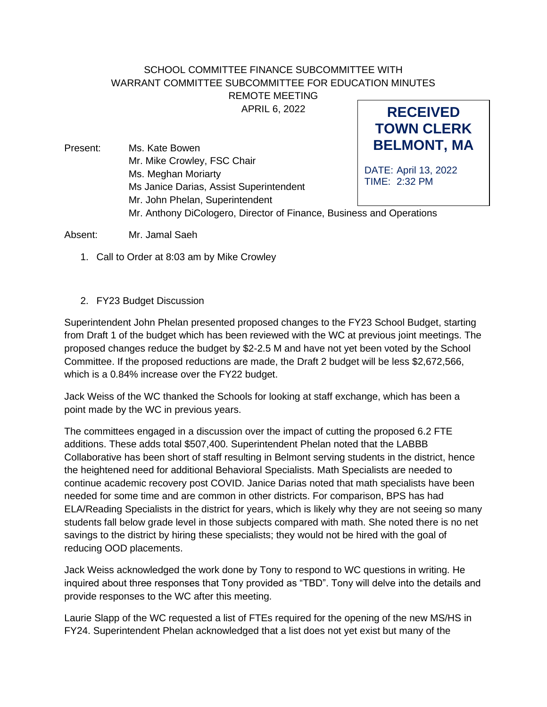## SCHOOL COMMITTEE FINANCE SUBCOMMITTEE WITH WARRANT COMMITTEE SUBCOMMITTEE FOR EDUCATION MINUTES REMOTE MEETING

APRIL 6, 2022

**RECEIVED TOWN CLERK**

**BELMONT, MA** DATE: April 13, 2022 TIME: 2:32 PM Present: Ms. Kate Bowen Mr. Mike Crowley, FSC Chair Ms. Meghan Moriarty Ms Janice Darias, Assist Superintendent Mr. John Phelan, Superintendent Mr. Anthony DiCologero, Director of Finance, Business and Operations

Absent: Mr. Jamal Saeh

- 1. Call to Order at 8:03 am by Mike Crowley
- 2. FY23 Budget Discussion

Superintendent John Phelan presented proposed changes to the FY23 School Budget, starting from Draft 1 of the budget which has been reviewed with the WC at previous joint meetings. The proposed changes reduce the budget by \$2-2.5 M and have not yet been voted by the School Committee. If the proposed reductions are made, the Draft 2 budget will be less \$2,672,566, which is a 0.84% increase over the FY22 budget.

Jack Weiss of the WC thanked the Schools for looking at staff exchange, which has been a point made by the WC in previous years.

The committees engaged in a discussion over the impact of cutting the proposed 6.2 FTE additions. These adds total \$507,400. Superintendent Phelan noted that the LABBB Collaborative has been short of staff resulting in Belmont serving students in the district, hence the heightened need for additional Behavioral Specialists. Math Specialists are needed to continue academic recovery post COVID. Janice Darias noted that math specialists have been needed for some time and are common in other districts. For comparison, BPS has had ELA/Reading Specialists in the district for years, which is likely why they are not seeing so many students fall below grade level in those subjects compared with math. She noted there is no net savings to the district by hiring these specialists; they would not be hired with the goal of reducing OOD placements.

Jack Weiss acknowledged the work done by Tony to respond to WC questions in writing. He inquired about three responses that Tony provided as "TBD". Tony will delve into the details and provide responses to the WC after this meeting.

Laurie Slapp of the WC requested a list of FTEs required for the opening of the new MS/HS in FY24. Superintendent Phelan acknowledged that a list does not yet exist but many of the